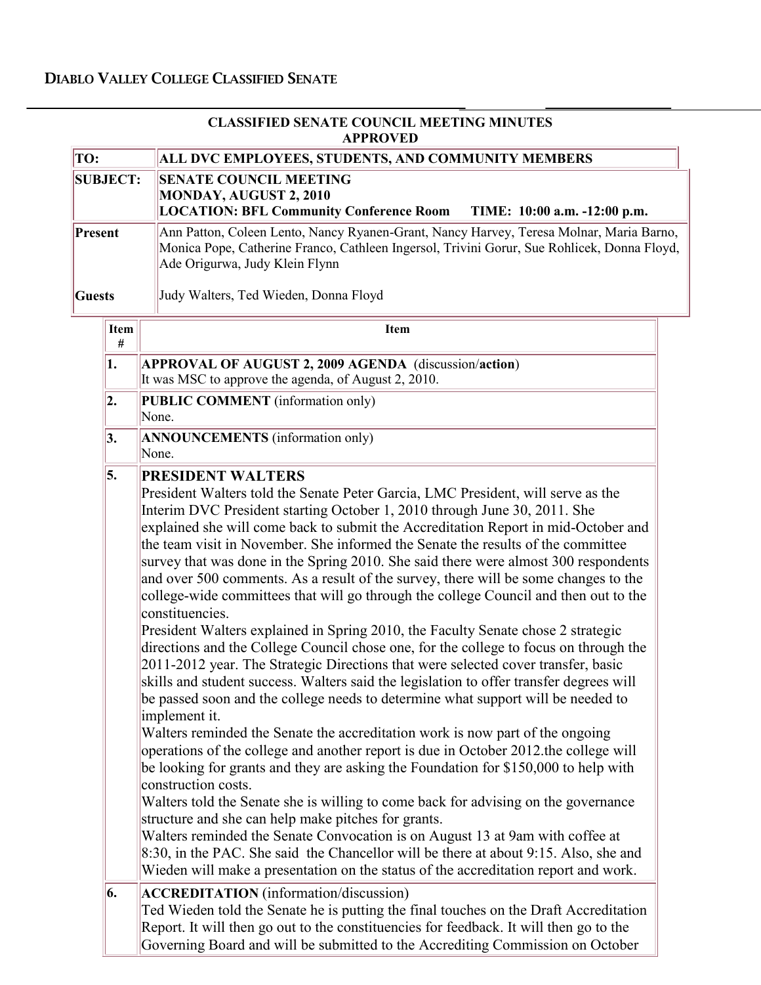| <b>CLASSIFIED SENATE COUNCIL MEETING MINUTES</b><br><b>APPROVED</b> |                                                                                                                                                                                                                                                                                                                                                                                                                                                                                                                                                                                                                                                                                                                                                                                                                                                                                                                                                                                                                                                                                                    |  |
|---------------------------------------------------------------------|----------------------------------------------------------------------------------------------------------------------------------------------------------------------------------------------------------------------------------------------------------------------------------------------------------------------------------------------------------------------------------------------------------------------------------------------------------------------------------------------------------------------------------------------------------------------------------------------------------------------------------------------------------------------------------------------------------------------------------------------------------------------------------------------------------------------------------------------------------------------------------------------------------------------------------------------------------------------------------------------------------------------------------------------------------------------------------------------------|--|
| TO:                                                                 | ALL DVC EMPLOYEES, STUDENTS, AND COMMUNITY MEMBERS                                                                                                                                                                                                                                                                                                                                                                                                                                                                                                                                                                                                                                                                                                                                                                                                                                                                                                                                                                                                                                                 |  |
| <b>SUBJECT:</b>                                                     | <b>SENATE COUNCIL MEETING</b><br>MONDAY, AUGUST 2, 2010<br><b>LOCATION: BFL Community Conference Room</b><br>TIME: 10:00 a.m. -12:00 p.m.                                                                                                                                                                                                                                                                                                                                                                                                                                                                                                                                                                                                                                                                                                                                                                                                                                                                                                                                                          |  |
| Present                                                             | Ann Patton, Coleen Lento, Nancy Ryanen-Grant, Nancy Harvey, Teresa Molnar, Maria Barno,<br>Monica Pope, Catherine Franco, Cathleen Ingersol, Trivini Gorur, Sue Rohlicek, Donna Floyd,<br>Ade Origurwa, Judy Klein Flynn                                                                                                                                                                                                                                                                                                                                                                                                                                                                                                                                                                                                                                                                                                                                                                                                                                                                           |  |
| Guests                                                              | Judy Walters, Ted Wieden, Donna Floyd                                                                                                                                                                                                                                                                                                                                                                                                                                                                                                                                                                                                                                                                                                                                                                                                                                                                                                                                                                                                                                                              |  |
| <b>Item</b><br>#                                                    | Item                                                                                                                                                                                                                                                                                                                                                                                                                                                                                                                                                                                                                                                                                                                                                                                                                                                                                                                                                                                                                                                                                               |  |
| 1.                                                                  | APPROVAL OF AUGUST 2, 2009 AGENDA (discussion/action)<br>It was MSC to approve the agenda, of August 2, 2010.                                                                                                                                                                                                                                                                                                                                                                                                                                                                                                                                                                                                                                                                                                                                                                                                                                                                                                                                                                                      |  |
| 2.                                                                  | PUBLIC COMMENT (information only)<br>None.                                                                                                                                                                                                                                                                                                                                                                                                                                                                                                                                                                                                                                                                                                                                                                                                                                                                                                                                                                                                                                                         |  |
| 3.                                                                  | <b>ANNOUNCEMENTS</b> (information only)<br>None.                                                                                                                                                                                                                                                                                                                                                                                                                                                                                                                                                                                                                                                                                                                                                                                                                                                                                                                                                                                                                                                   |  |
|                                                                     | President Walters told the Senate Peter Garcia, LMC President, will serve as the<br>Interim DVC President starting October 1, 2010 through June 30, 2011. She<br>explained she will come back to submit the Accreditation Report in mid-October and<br>the team visit in November. She informed the Senate the results of the committee<br>survey that was done in the Spring 2010. She said there were almost 300 respondents<br>and over 500 comments. As a result of the survey, there will be some changes to the<br>college-wide committees that will go through the college Council and then out to the<br>constituencies.<br>President Walters explained in Spring 2010, the Faculty Senate chose 2 strategic<br>directions and the College Council chose one, for the college to focus on through the<br>2011-2012 year. The Strategic Directions that were selected cover transfer, basic<br>skills and student success. Walters said the legislation to offer transfer degrees will<br>be passed soon and the college needs to determine what support will be needed to<br>implement it. |  |
|                                                                     | Walters reminded the Senate the accreditation work is now part of the ongoing<br>operations of the college and another report is due in October 2012 the college will<br>be looking for grants and they are asking the Foundation for \$150,000 to help with<br>construction costs.<br>Walters told the Senate she is willing to come back for advising on the governance<br>structure and she can help make pitches for grants.<br>Walters reminded the Senate Convocation is on August 13 at 9am with coffee at<br>8:30, in the PAC. She said the Chancellor will be there at about 9:15. Also, she and<br>Wieden will make a presentation on the status of the accreditation report and work.                                                                                                                                                                                                                                                                                                                                                                                                   |  |
| 6.                                                                  | <b>ACCREDITATION</b> (information/discussion)<br>Ted Wieden told the Senate he is putting the final touches on the Draft Accreditation<br>Report. It will then go out to the constituencies for feedback. It will then go to the                                                                                                                                                                                                                                                                                                                                                                                                                                                                                                                                                                                                                                                                                                                                                                                                                                                                   |  |

Governing Board and will be submitted to the Accrediting Commission on October